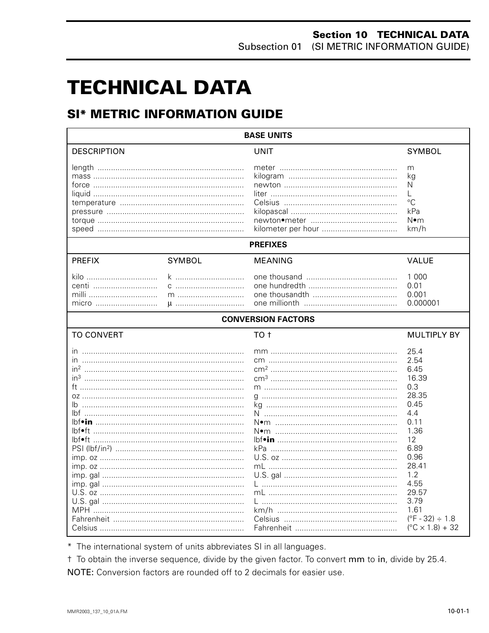# **TECHNICAL DATA**

# **SI\* METRIC INFORMATION GUIDE**

| <b>BASE UNITS</b>                                                                     |                    |                 |                                                                                                                                                                                                                     |  |  |  |
|---------------------------------------------------------------------------------------|--------------------|-----------------|---------------------------------------------------------------------------------------------------------------------------------------------------------------------------------------------------------------------|--|--|--|
| <b>DESCRIPTION</b>                                                                    |                    | <b>UNIT</b>     | <b>SYMBOL</b>                                                                                                                                                                                                       |  |  |  |
|                                                                                       |                    |                 | m<br>kg<br>N<br>L<br>$^{\circ}C$<br>kPa<br>N∙m<br>km/h                                                                                                                                                              |  |  |  |
|                                                                                       |                    | <b>PREFIXES</b> |                                                                                                                                                                                                                     |  |  |  |
| <b>PREFIX</b>                                                                         | <b>SYMBOL</b>      | <b>MEANING</b>  | <b>VALUE</b>                                                                                                                                                                                                        |  |  |  |
| kilo<br>centi<br>milli<br>micro                                                       | k<br>C<br>$m$<br>u |                 | 1 0 0 0<br>0.01<br>0.001<br>0.000001                                                                                                                                                                                |  |  |  |
| <b>CONVERSION FACTORS</b>                                                             |                    |                 |                                                                                                                                                                                                                     |  |  |  |
| <b>TO CONVERT</b>                                                                     |                    | TO <sub>t</sub> | <b>MULTIPLY BY</b>                                                                                                                                                                                                  |  |  |  |
| $\overline{\mathsf{m}}$<br>$in^2$<br>in <sup>3</sup><br>lbf•in ………………………………………………………… |                    |                 | 25.4<br>2.54<br>6.45<br>16.39<br>0.3<br>28.35<br>0.45<br>4.4<br>0.11<br>1.36<br>12<br>6.89<br>0.96<br>28.41<br>1.2<br>4.55<br>29.57<br>3.79<br>1.61<br>$(^{\circ}F - 32) \div 1.8$<br>$(^{\circ}C \times 1.8) + 32$ |  |  |  |

\* The international system of units abbreviates SI in all languages.

t To obtain the inverse sequence, divide by the given factor. To convert mm to in, divide by 25.4. NOTE: Conversion factors are rounded off to 2 decimals for easier use.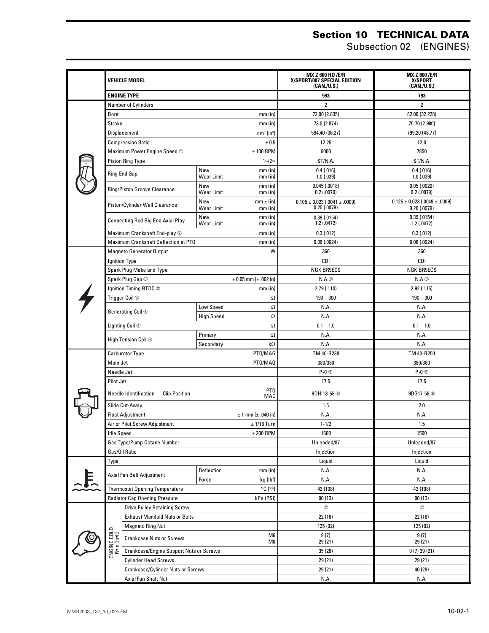#### **Section 10 TECHNICAL DATA**

Subsection 02 (ENGINES)

|                |                                                                       | Vehicle model                            |                                                    | <b>MX Z 600 HO /E/R</b><br>X/SPORT/007 SPECIAL EDITION<br>(CAN./U.S.) | <b>MX Z 800/E/R</b><br>X/SPORT<br>(CAN./U.S.)             |
|----------------|-----------------------------------------------------------------------|------------------------------------------|----------------------------------------------------|-----------------------------------------------------------------------|-----------------------------------------------------------|
|                |                                                                       | <b>ENGINE TYPE</b>                       |                                                    | 593                                                                   | 793                                                       |
|                | Number of Cylinders                                                   |                                          |                                                    | 2                                                                     | 2                                                         |
|                | Bore<br>$mm$ (in)                                                     |                                          |                                                    | 72.00 (2.835)                                                         | 82.00 (32.228)                                            |
|                | Stroke                                                                |                                          | $mm$ (in)                                          | 73.0 (2.874)                                                          | 75.70 (2.980)                                             |
|                |                                                                       | Displacement                             | $cm3$ (in <sup>3</sup> )                           | 594.40 (36.27)                                                        | 799.20 (48.77)                                            |
|                |                                                                       | <b>Compression Ratio</b>                 | ± 0.5                                              | 12.25                                                                 | 12.0                                                      |
|                |                                                                       | Maximum Power Engine Speed 1             | $± 100$ RPM                                        | 8000                                                                  | 7850                                                      |
|                |                                                                       | <b>Piston Ring Type</b>                  | 1 <sup>st</sup> /2 <sup>nd</sup>                   | ST/N.A.                                                               | ST/N.A.                                                   |
|                |                                                                       | Ring End Gap                             | New<br>$mm$ (in)<br>Wear Limit<br>$mm$ (in)        | 0.4(0.016)<br>1.0(0.039)                                              | 0.4(0.016)<br>1.0(0.039)                                  |
|                |                                                                       | Ring/Piston Groove Clearance             | New<br>$mm$ (in)<br><b>Wear Limit</b><br>$mm$ (in) | 0.045(.0018)<br>$0.2$ (.0079)                                         | 0.05(0.0020)<br>$0.2$ (.0079)                             |
|                |                                                                       | Piston/Cylinder Wall Clearance           | New<br>$mm \pm (in)$<br>Wear Limit<br>$mm$ (in)    | $0.105 \pm 0.023$ (.0041 $\pm$ .0009)<br>0.20(0.0079)                 | $0.125 \pm 0.023$ (.0049 $\pm$ .0009)<br>$0.20$ $(.0079)$ |
|                |                                                                       | <b>Connecting Rod Big End Axial Play</b> | New<br>$mm$ (in)<br>Wear Limit<br>$mm$ (in)        | 0.39(0.0154)<br>1.2(.0472)                                            | 0.39(0.0154)<br>1.2(.0472)                                |
|                |                                                                       | Maximum Crankshaft End-play 2            | $mm$ (in)                                          | 0.3(0.012)                                                            | 0.3(0.012)                                                |
|                |                                                                       | Maximum Crankshaft Deflection at PTO     | $mm$ (in)                                          | 0.06(0.0024)                                                          | 0.06(0.0024)                                              |
|                |                                                                       | <b>Magneto Generator Output</b>          | W                                                  | 360                                                                   | 360                                                       |
|                |                                                                       | <b>Ignition Type</b>                     |                                                    | CDI                                                                   | CDI                                                       |
|                |                                                                       | Spark Plug Make and Type                 |                                                    | <b>NGK BR9ECS</b>                                                     | <b>NGK BR9ECS</b>                                         |
|                |                                                                       | Spark Plug Gap <sup>®</sup>              | $\pm$ 0.05 mm ( $\pm$ .002 in)                     | $N.A.$ <sup><math>@</math></sup>                                      | N.A.                                                      |
|                |                                                                       | Ignition Timing BTDC 3                   | $mm$ (in)                                          | 2.79(0.110)                                                           | 2.92(.115)                                                |
|                |                                                                       | Trigger Coil 4                           |                                                    | Ω<br>$190 - 300$                                                      | $190 - 300$                                               |
|                |                                                                       | Generating Coil 4                        | Low Speed                                          | $\Omega$<br>N.A.                                                      | N.A.                                                      |
|                |                                                                       |                                          | <b>High Speed</b>                                  | Ω<br>N.A.                                                             | N.A.                                                      |
|                |                                                                       | Lighting Coil ④                          |                                                    | Ω<br>$0.1 - 1.0$                                                      | $0.1 - 1.0$                                               |
|                |                                                                       |                                          | Primary                                            | Ω<br>N.A.                                                             | N.A.                                                      |
|                | High Tension Coil 4                                                   |                                          | Secondary<br>$k\Omega$                             | N.A.                                                                  | N.A.                                                      |
|                | PT0/MAG<br><b>Carburetor Type</b>                                     |                                          |                                                    | TM 40-B238                                                            | TM 40-B250                                                |
|                | Main Jet                                                              |                                          | PT0/MAG                                            | 380/380                                                               | 380/380                                                   |
|                | Needle Jet                                                            |                                          |                                                    | $P-0$ $\circledcirc$                                                  | $P-0$ $\circledcirc$                                      |
|                | Pilot Jet                                                             |                                          |                                                    | 17.5                                                                  | 17.5                                                      |
|                | PT <sub>0</sub><br>Needle Identification - Clip Position<br>MAG       |                                          |                                                    | 9DH113-58 <sup>6</sup>                                                | 9DG17-58 <sup>6</sup>                                     |
|                |                                                                       | Slide Cut-Away                           |                                                    | 1.5                                                                   | 2.0                                                       |
|                | <b>Float Adjustment</b><br>$± 1$ mm ( $± .040$ in)                    |                                          |                                                    | N.A.                                                                  | N.A.                                                      |
|                | Air or Pilot Screw Adjustment<br>$± 1/16$ Turn                        |                                          |                                                    | $1 - 1/2$                                                             | 1.5                                                       |
|                | <b>Idle Speed</b><br>$±$ 200 RPM                                      |                                          |                                                    | 1600                                                                  | 1500                                                      |
|                | Gas Type/Pump Octane Number                                           |                                          |                                                    | Unleaded/87                                                           | Unleaded/87                                               |
|                | Gas/Oil Ratio                                                         |                                          |                                                    | Injection                                                             | Injection                                                 |
|                | Type                                                                  |                                          |                                                    | Liquid                                                                | Liquid                                                    |
|                |                                                                       | Axial Fan Belt Adjustment                | Deflection<br>mm (in)                              | N.A.                                                                  | N.A.                                                      |
| $\overline{E}$ |                                                                       |                                          | kg (lbf)<br>Force                                  | N.A.                                                                  | N.A.                                                      |
|                | <b>Thermostat Opening Temperature</b><br>$^{\circ}$ C ( $^{\circ}$ F) |                                          |                                                    | 42 (108)                                                              | 42 (108)                                                  |
|                | Radiator Cap Opening Pressure<br>kPa (PSI)                            |                                          |                                                    | 90 (13)                                                               | 90 (13)                                                   |
|                | <b>Drive Pulley Retaining Screw</b>                                   |                                          |                                                    | $^{\circ}$                                                            | $^\circledR$                                              |
|                | <b>Exhaust Manifold Nuts or Bolts</b>                                 |                                          |                                                    | 22 (16)                                                               | 22 (16)                                                   |
|                |                                                                       | <b>Magneto Ring Nut</b>                  |                                                    | 125 (92)                                                              | 125 (92)                                                  |
|                | ENGINE COLD<br>N•m (lb•ft)                                            | <b>Crankcase Nuts or Screws</b>          | M6<br>M8                                           | 9(7)<br>29 (21)                                                       | 9(7)<br>29 (21)                                           |
|                |                                                                       | Crankcase/Engine Support Nuts or Screws  |                                                    | 35 (26)                                                               | 9 (7) 29 (21)                                             |
|                | <b>Cylinder Head Screws</b>                                           |                                          |                                                    | 29 (21)                                                               | 29 (21)                                                   |
|                |                                                                       | Crankcase/Cylinder Nuts or Screws        |                                                    | 29 (21)                                                               | 40 (29)                                                   |
|                | Axial Fan Shaft Nut                                                   |                                          |                                                    | N.A.                                                                  | N.A.                                                      |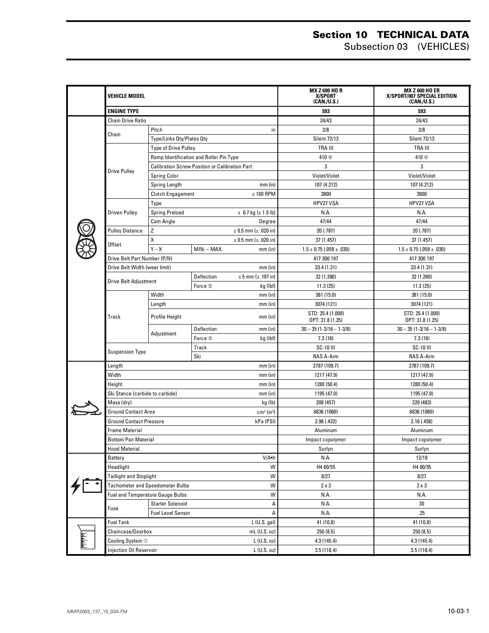#### **Section 10 TECHNICAL DATA** Subsection 03 (VEHICLES)

|  | Vehicle model                                          |                                                       |             |                              | <b>MX Z 600 HO R</b><br>X/SPORT<br>(CAN./U.S.) | <b>MX Z 600 HO ER</b><br>X/SPORT/007 SPECIAL EDITION<br>(CAN.U.S.) |
|--|--------------------------------------------------------|-------------------------------------------------------|-------------|------------------------------|------------------------------------------------|--------------------------------------------------------------------|
|  | <b>ENGINE TYPE</b>                                     |                                                       |             |                              | 593                                            | 593                                                                |
|  | <b>Chain Drive Ratio</b>                               |                                                       |             |                              | 24/43                                          | 24/43                                                              |
|  |                                                        | Pitch<br>in                                           |             | 3/8                          | 3/8                                            |                                                                    |
|  | Chain                                                  | Type/Links Qty/Plates Qty                             |             | <b>Silent 72/13</b>          | <b>Silent 72/13</b>                            |                                                                    |
|  |                                                        | <b>Type of Drive Pulley</b>                           |             |                              | TRA III                                        | TRA III                                                            |
|  |                                                        | Ramp Identification and Roller Pin Type               |             |                              | 410 <sup>4</sup>                               | 410 <sup>4</sup>                                                   |
|  |                                                        | <b>Calibration Screw Position or Calibration Part</b> |             |                              | 3                                              | 3                                                                  |
|  | <b>Drive Pulley</b>                                    | <b>Spring Color</b>                                   |             |                              | Violet/Violet                                  | Violet/Violet                                                      |
|  |                                                        | Spring Length<br>$mm$ (in)                            |             |                              | 107 (4.212)                                    | 107 (4.212)                                                        |
|  |                                                        | Clutch Engagement                                     |             | $± 100$ RPM                  | 3800                                           | 3800                                                               |
|  |                                                        | Type                                                  |             |                              | HPV27 VSA                                      | HPV27 VSA                                                          |
|  | <b>Driven Pulley</b>                                   | <b>Spring Preload</b>                                 |             | $\pm$ 0.7 kg ( $\pm$ 1.5 lb) | N.A.                                           | N.A.                                                               |
|  |                                                        | Cam Angle                                             |             | Degree                       | 47/44                                          | 47/44                                                              |
|  | <b>Pulley Distance</b>                                 | Z                                                     |             | $± 0.5$ mm ( $± .020$ in)    | 20 (.787)                                      | 20 (.787)                                                          |
|  |                                                        | X                                                     |             | $± 0.5$ mm ( $± .020$ in)    | 37 (1.457)                                     | 37 (1.457)                                                         |
|  | Offset                                                 | $Y - X$                                               | MIN. - MAX. | $mm$ (in)                    | $1.5 \pm 0.75$ (.059 $\pm$ .030)               | $1.5 \pm 0.75$ (.059 $\pm$ .030)                                   |
|  | Drive Belt Part Number (P/N)                           |                                                       |             |                              | 417 300 197                                    | 417 300 197                                                        |
|  | Drive Belt Width (wear limit)                          |                                                       |             | $mm$ (in)                    | 33.4 (1.31)                                    | 33.4 (1.31)                                                        |
|  |                                                        |                                                       | Deflection  | $± 5$ mm ( $± .197$ in)      | 32 (1.260)                                     | 32 (1.260)                                                         |
|  | <b>Drive Belt Adjustment</b>                           |                                                       | Force 2     | kg (lbf)                     | 11.3(25)                                       | 11.3(25)                                                           |
|  |                                                        | Width                                                 |             | $mm$ (in)                    | 381 (15.0)                                     | 381 (15.0)                                                         |
|  | Track                                                  | Length<br>$mm$ (in)                                   |             | 3074 (121)                   | 3074 (121)                                     |                                                                    |
|  |                                                        |                                                       |             | STD: 25.4 (1.000)            | STD: 25.4 (1.000)                              |                                                                    |
|  |                                                        | Profile Height                                        |             | $mm$ (in)                    | OPT: 31.8 (1.25)                               | OPT: 31.8 (1.25)                                                   |
|  |                                                        | Adjustment                                            | Deflection  | $mm$ (in)                    | $30 - 35(1 - 3/16 - 1 - 3/8)$                  | $30 - 35(1 - 3/16 - 1 - 3/8)$                                      |
|  |                                                        |                                                       | Force 3     | kg (lbf)                     | 7.3(16)                                        | 7.3(16)                                                            |
|  | <b>Suspension Type</b>                                 |                                                       | Track       |                              | SC-10 III                                      | <b>SC-10 III</b>                                                   |
|  |                                                        |                                                       | Ski         |                              | RAS A-Arm                                      | RAS A-Arm                                                          |
|  | Length<br>$mm$ (in)                                    |                                                       |             |                              | 2787 (109.7)                                   | 2787 (109.7)                                                       |
|  | Width                                                  | $mm$ (in)                                             |             |                              | 1217 (47.9)                                    | 1217 (47.9)                                                        |
|  | Height<br>$mm$ (in)                                    |                                                       |             |                              | 1280 (50.4)                                    | 1280 (50.4)                                                        |
|  | Ski Stance (carbide to carbide)<br>$mm$ (in)           |                                                       |             |                              | 1195 (47.0)                                    | 1195 (47.0)                                                        |
|  | Mass (dry)<br>kg (lb)                                  |                                                       |             |                              | 208 (457)                                      | 220 (483)                                                          |
|  | <b>Ground Contact Area</b><br>$cm2$ (in <sup>2</sup> ) |                                                       |             |                              | 6836 (1060)                                    | 6836 (1060)                                                        |
|  | kPa (PSI)<br><b>Ground Contact Pressure</b>            |                                                       |             |                              | 2.98 (.432)                                    | 3.16(.458)                                                         |
|  | Frame Material                                         |                                                       |             |                              | Aluminum                                       | Aluminum                                                           |
|  | <b>Bottom Pan Material</b>                             |                                                       |             |                              | Impact copolymer                               | Impact copolymer                                                   |
|  | <b>Hood Material</b>                                   |                                                       |             |                              | Surlyn                                         | Surlyn                                                             |
|  | V/A.h<br>Battery                                       |                                                       |             |                              | N.A.                                           | 12/18                                                              |
|  | Headlight<br>W                                         |                                                       |             |                              | H4 60/55                                       | H4 60/55                                                           |
|  | <b>Taillight and Stoplight</b><br>W                    |                                                       |             |                              | 8/27                                           | 8/27                                                               |
|  | <b>Tachometer and Speedometer Bulbs</b><br>W           |                                                       |             |                              | $2 \times 3$                                   | $2 \times 3$                                                       |
|  | Fuel and Temperature Gauge Bulbs<br>Fuse               | W                                                     |             | N.A.                         | N.A.                                           |                                                                    |
|  |                                                        | <b>Starter Solenoid</b><br>А                          |             | N.A.                         | 30                                             |                                                                    |
|  |                                                        | <b>Fuel Level Sensor</b><br>А                         |             | N.A.                         | .25                                            |                                                                    |
|  |                                                        | L (U.S. gal)<br><b>Fuel Tank</b>                      |             |                              | 41 (10.8)                                      | 41 (10.8)                                                          |
|  | Chaincase/Gearbox                                      |                                                       |             | mL (U.S. oz)                 | 250 (8.5)                                      | 250 (8.5)                                                          |
|  |                                                        | L (U.S. oz)<br>Cooling System 1                       |             |                              | 4.3 (145.4)                                    | 4.3 (145.4)                                                        |
|  | Injection Oil Reservoir<br>L (U.S. oz)                 |                                                       |             |                              | 3.5(118.4)                                     | 3.5(118.4)                                                         |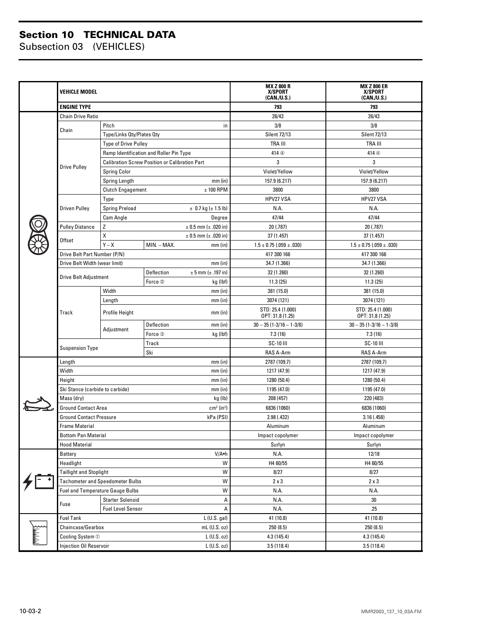#### **Section 10 TECHNICAL DATA**

Subsection 03 (VEHICLES)

|  | <b>VEHICLE MODEL</b><br><b>ENGINE TYPE</b>      |                                                        |             |                              | <b>MX Z 800 R</b><br>X/SPORT<br>(CAN./U.S.) | <b>MX Z 800 ER</b><br>X/SPORT<br>(CAN./U.S.) |
|--|-------------------------------------------------|--------------------------------------------------------|-------------|------------------------------|---------------------------------------------|----------------------------------------------|
|  |                                                 |                                                        |             |                              | 793                                         | 793                                          |
|  | <b>Chain Drive Ratio</b>                        |                                                        |             |                              | 26/43                                       | 26/43                                        |
|  |                                                 | Pitch<br>in                                            |             | 3/8                          | 3/8                                         |                                              |
|  | Chain                                           | Type/Links Qty/Plates Qty                              |             |                              | <b>Silent 72/13</b>                         | <b>Silent 72/13</b>                          |
|  |                                                 | <b>Type of Drive Pulley</b>                            |             | <b>TRA III</b>               | <b>TRA III</b>                              |                                              |
|  |                                                 | Ramp Identification and Roller Pin Type                |             | 414 <sup>4</sup>             | 414 <sup>4</sup>                            |                                              |
|  |                                                 | <b>Calibration Screw Position or Calibration Part</b>  |             |                              | 3                                           | 3                                            |
|  | <b>Drive Pulley</b>                             | <b>Spring Color</b>                                    |             |                              | Violet/Yellow                               | Violet/Yellow                                |
|  |                                                 | Spring Length<br>$mm$ (in)                             |             |                              | 157.9 (6.217)                               | 157.9 (6.217)                                |
|  |                                                 | $± 100$ RPM<br><b>Clutch Engagement</b>                |             | 3800                         | 3800                                        |                                              |
|  |                                                 | Type                                                   |             | HPV27 VSA                    | HPV27 VSA                                   |                                              |
|  | Driven Pulley                                   | <b>Spring Preload</b>                                  |             | $\pm$ 0.7 kg ( $\pm$ 1.5 lb) | N.A.                                        | N.A.                                         |
|  |                                                 | Cam Angle                                              |             | Degree                       | 47/44                                       | 47/44                                        |
|  | <b>Pulley Distance</b>                          | Ζ<br>$± 0.5$ mm ( $± .020$ in)                         |             |                              | 20 (.787)                                   | 20 (.787)                                    |
|  | <b>Offset</b>                                   | Χ                                                      |             | $± 0.5$ mm ( $± .020$ in)    | 37 (1.457)                                  | 37 (1.457)                                   |
|  |                                                 | $Y - X$                                                | MIN. - MAX. | $mm$ (in)                    | $1.5 \pm 0.75$ (.059 $\pm$ .030)            | $1.5 \pm 0.75$ (.059 $\pm$ .030)             |
|  | Drive Belt Part Number (P/N)                    |                                                        |             |                              | 417 300 166                                 | 417 300 166                                  |
|  | Drive Belt Width (wear limit)                   |                                                        |             | $mm$ (in)                    | 34.7 (1.366)                                | 34.7 (1.366)                                 |
|  | <b>Drive Belt Adjustment</b>                    |                                                        | Deflection  | $± 5$ mm ( $± .197$ in)      | 32 (1.260)                                  | 32 (1.260)                                   |
|  |                                                 |                                                        | Force 2     | kg (lbf)                     | 11.3(25)                                    | 11.3(25)                                     |
|  |                                                 | Width<br>$mm$ (in)                                     |             | 381 (15.0)                   | 381 (15.0)                                  |                                              |
|  |                                                 | $mm$ (in)<br>Length                                    |             | 3074 (121)                   | 3074 (121)                                  |                                              |
|  | Track                                           | <b>Profile Height</b><br>$mm$ (in)                     |             |                              | STD: 25.4 (1.000)<br>OPT: 31.8 (1.25)       | STD: 25.4 (1.000)<br>OPT: 31.8 (1.25)        |
|  |                                                 | Adjustment                                             | Deflection  | $mm$ (in)                    | $30 - 35(1 - 3/16 - 1 - 3/8)$               | $30 - 35$ (1-3/16 - 1-3/8)                   |
|  |                                                 |                                                        | Force 3     | kg (Ibf)                     | 7.3(16)                                     | 7.3(16)                                      |
|  |                                                 | Track                                                  |             |                              | SC-10 III                                   | <b>SC-10 III</b>                             |
|  | <b>Suspension Type</b><br>Ski                   |                                                        |             | RAS A-Arm                    | RAS A-Arm                                   |                                              |
|  | $mm$ (in)<br>Length                             |                                                        |             |                              | 2787 (109.7)                                | 2787 (109.7)                                 |
|  | Width<br>$mm$ (in)                              |                                                        |             |                              | 1217 (47.9)                                 | 1217 (47.9)                                  |
|  | Height<br>$mm$ (in)                             |                                                        |             |                              | 1280 (50.4)                                 | 1280 (50.4)                                  |
|  | Ski Stance (carbide to carbide)<br>$mm$ (in)    |                                                        |             |                              | 1195 (47.0)                                 | 1195 (47.0)                                  |
|  | Mass (drv)                                      | kg (lb)                                                |             |                              | 208 (457)                                   | 220 (483)                                    |
|  |                                                 | <b>Ground Contact Area</b><br>$cm2$ (in <sup>2</sup> ) |             |                              | 6836 (1060)                                 | 6836 (1060)                                  |
|  | <b>Ground Contact Pressure</b><br>kPa (PSI)     |                                                        |             |                              | 2.98 (.432)                                 | 3.16(0.458)                                  |
|  | Frame Material                                  |                                                        |             |                              | Aluminum                                    | Aluminum                                     |
|  |                                                 | <b>Bottom Pan Material</b>                             |             |                              | Impact copolymer                            | Impact copolymer                             |
|  |                                                 | <b>Hood Material</b>                                   |             |                              | Surlyn                                      | Surlyn                                       |
|  | Battery                                         | V/A.h                                                  |             |                              | N.A.                                        | 12/18                                        |
|  | Headlight                                       |                                                        |             | W                            | H4 60/55                                    | H4 60/55                                     |
|  |                                                 | W<br>Taillight and Stoplight                           |             |                              | 8/27                                        | 8/27                                         |
|  | W<br><b>Tachometer and Speedometer Bulbs</b>    |                                                        |             |                              | $2 \times 3$                                | $2 \times 3$                                 |
|  | <b>Fuel and Temperature Gauge Bulbs</b><br>Fuse | W                                                      |             | N.A.                         | N.A.                                        |                                              |
|  |                                                 | <b>Starter Solenoid</b><br>А                           |             | N.A.                         | 30                                          |                                              |
|  |                                                 | <b>Fuel Level Sensor</b><br>А                          |             | N.A.                         | .25                                         |                                              |
|  | <b>Fuel Tank</b>                                |                                                        |             | $L$ (U.S. gal)               | 41 (10.8)                                   | 41 (10.8)                                    |
|  | Chaincase/Gearbox                               |                                                        |             | mL (U.S. oz)                 | 250(8.5)                                    | 250(8.5)                                     |
|  | Cooling System 1<br>$L$ (U.S. oz)               |                                                        |             |                              | 4.3 (145.4)                                 | 4.3 (145.4)                                  |
|  | Injection Oil Reservoir<br>$L$ (U.S. oz)        |                                                        |             |                              | 3.5(118.4)                                  | 3.5(118.4)                                   |